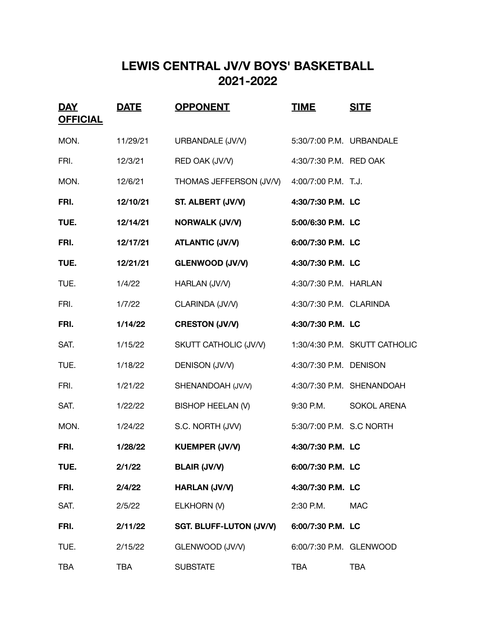## **LEWIS CENTRAL JV/V BOYS' BASKETBALL 2021-2022**

| <u>DAY</u><br><b>OFFICIAL</b> | <b>DATE</b> | <b>OPPONENT</b>                | <u>TIME</u>              | <b>SITE</b>                   |
|-------------------------------|-------------|--------------------------------|--------------------------|-------------------------------|
| MON.                          | 11/29/21    | URBANDALE (JV/V)               | 5:30/7:00 P.M. URBANDALE |                               |
| FRI.                          | 12/3/21     | RED OAK (JV/V)                 | 4:30/7:30 P.M. RED OAK   |                               |
| MON.                          | 12/6/21     | THOMAS JEFFERSON (JV/V)        | 4:00/7:00 P.M. T.J.      |                               |
| FRI.                          | 12/10/21    | ST. ALBERT (JV/V)              | 4:30/7:30 P.M. LC        |                               |
| TUE.                          | 12/14/21    | <b>NORWALK (JV/V)</b>          | 5:00/6:30 P.M. LC        |                               |
| FRI.                          | 12/17/21    | <b>ATLANTIC (JV/V)</b>         | 6:00/7:30 P.M. LC        |                               |
| TUE.                          | 12/21/21    | <b>GLENWOOD (JV/V)</b>         | 4:30/7:30 P.M. LC        |                               |
| TUE.                          | 1/4/22      | HARLAN (JV/V)                  | 4:30/7:30 P.M. HARLAN    |                               |
| FRI.                          | 1/7/22      | CLARINDA (JV/V)                | 4:30/7:30 P.M. CLARINDA  |                               |
| FRI.                          | 1/14/22     | <b>CRESTON (JV/V)</b>          | 4:30/7:30 P.M. LC        |                               |
| SAT.                          | 1/15/22     | SKUTT CATHOLIC (JV/V)          |                          | 1:30/4:30 P.M. SKUTT CATHOLIC |
| TUE.                          | 1/18/22     | DENISON (JV/V)                 | 4:30/7:30 P.M. DENISON   |                               |
| FRI.                          | 1/21/22     | SHENANDOAH (JV/V)              |                          | 4:30/7:30 P.M. SHENANDOAH     |
| SAT.                          | 1/22/22     | BISHOP HEELAN (V)              | 9:30 P.M.                | <b>SOKOL ARENA</b>            |
| MON.                          | 1/24/22     | S.C. NORTH (JVV)               | 5:30/7:00 P.M. S.C NORTH |                               |
| FRI.                          | 1/28/22     | <b>KUEMPER (JV/V)</b>          | 4:30/7:30 P.M. LC        |                               |
| TUE.                          | 2/1/22      | <b>BLAIR (JV/V)</b>            | 6:00/7:30 P.M. LC        |                               |
| FRI.                          | 2/4/22      | <b>HARLAN (JV/V)</b>           | 4:30/7:30 P.M. LC        |                               |
| SAT.                          | 2/5/22      | ELKHORN (V)                    | 2:30 P.M.                | <b>MAC</b>                    |
| FRI.                          | 2/11/22     | <b>SGT. BLUFF-LUTON (JV/V)</b> | 6:00/7:30 P.M. LC        |                               |
| TUE.                          | 2/15/22     | GLENWOOD (JV/V)                | 6:00/7:30 P.M. GLENWOOD  |                               |
| <b>TBA</b>                    | TBA         | <b>SUBSTATE</b>                | <b>TBA</b>               | <b>TBA</b>                    |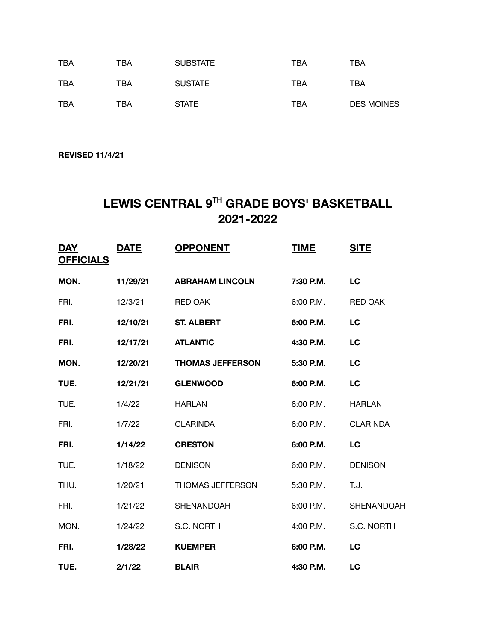| TBA | TBA | <b>SUBSTATE</b> | TBA | ТВА               |
|-----|-----|-----------------|-----|-------------------|
| TBA | TBA | <b>SUSTATE</b>  | TBA | TBA               |
| TBA | TBA | <b>STATE</b>    | TBA | <b>DES MOINES</b> |

**REVISED 11/4/21**

## **LEWIS CENTRAL 9TH GRADE BOYS' BASKETBALL 2021-2022**

| <b>DAY</b><br><b>OFFICIALS</b> | <b>DATE</b> | <b>OPPONENT</b>         | <b>TIME</b> | <b>SITE</b>       |
|--------------------------------|-------------|-------------------------|-------------|-------------------|
| MON.                           | 11/29/21    | <b>ABRAHAM LINCOLN</b>  | 7:30 P.M.   | LC                |
| FRI.                           | 12/3/21     | <b>RED OAK</b>          | $6:00$ P.M. | <b>RED OAK</b>    |
| FRI.                           | 12/10/21    | <b>ST. ALBERT</b>       | 6:00 P.M.   | LC                |
| FRI.                           | 12/17/21    | <b>ATLANTIC</b>         | 4:30 P.M.   | LC                |
| MON.                           | 12/20/21    | <b>THOMAS JEFFERSON</b> | 5:30 P.M.   | LC                |
| TUE.                           | 12/21/21    | <b>GLENWOOD</b>         | 6:00 P.M.   | <b>LC</b>         |
| TUE.                           | 1/4/22      | <b>HARLAN</b>           | 6:00 P.M.   | <b>HARLAN</b>     |
| FRI.                           | 1/7/22      | <b>CLARINDA</b>         | $6:00$ P.M. | <b>CLARINDA</b>   |
| FRI.                           | 1/14/22     | <b>CRESTON</b>          | 6:00 P.M.   | <b>LC</b>         |
| TUE.                           | 1/18/22     | <b>DENISON</b>          | 6:00 P.M.   | <b>DENISON</b>    |
| THU.                           | 1/20/21     | THOMAS JEFFERSON        | 5:30 P.M.   | T.J.              |
| FRI.                           | 1/21/22     | SHENANDOAH              | 6:00 P.M.   | <b>SHENANDOAH</b> |
| MON.                           | 1/24/22     | S.C. NORTH              | 4:00 P.M.   | S.C. NORTH        |
| FRI.                           | 1/28/22     | <b>KUEMPER</b>          | 6:00 P.M.   | LC                |
| TUE.                           | 2/1/22      | <b>BLAIR</b>            | 4:30 P.M.   | LC                |